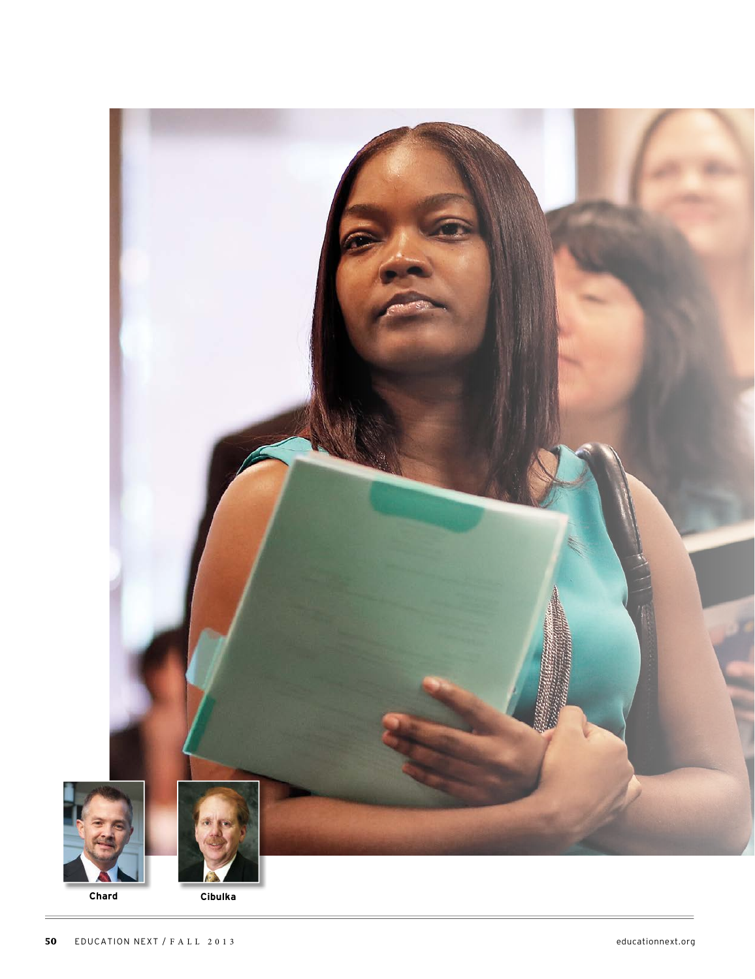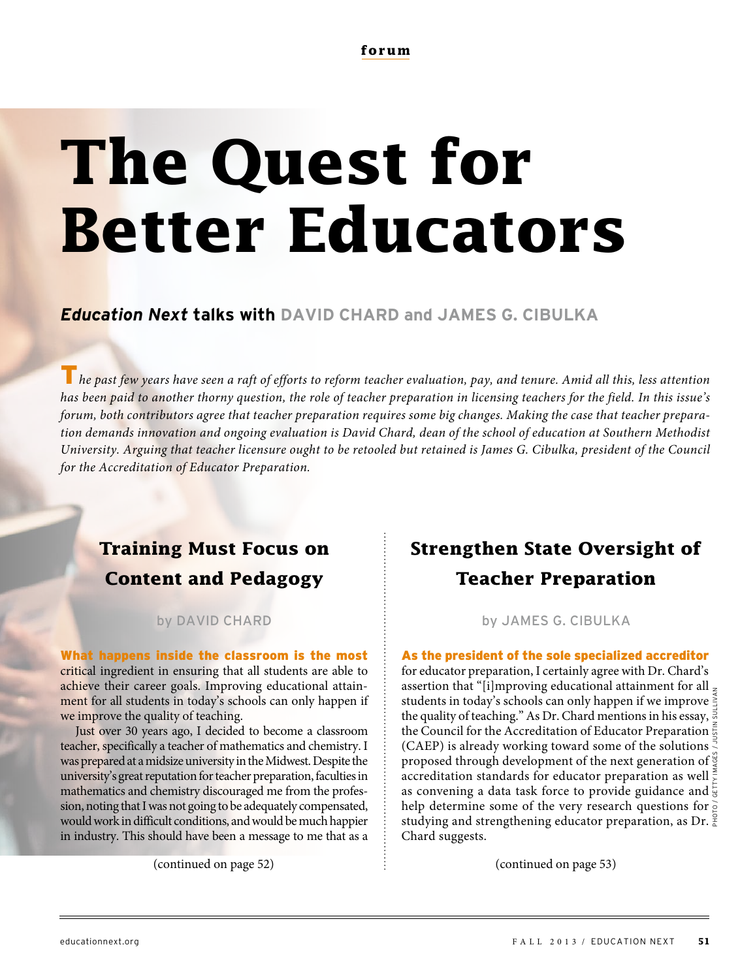# **The Quest for Better Educators**

#### *Education Next* **talks with DAVID CHARD and JAMES G. CIBULKA**

 $\blacksquare$  he past few years have seen a raft of efforts to reform teacher evaluation, pay, and tenure. Amid all this, less attention has been paid to another thorny question, the role of teacher preparation in licensing teachers for the field. In this issue's forum, both contributors agree that teacher preparation requires some big changes. Making the case that teacher preparation demands innovation and ongoing evaluation is David Chard, dean of the school of education at Southern Methodist University. Arguing that teacher licensure ought to be retooled but retained is James G. Cibulka, president of the Council for the Accreditation of Educator Preparation.

### **Training Must Focus on Content and Pedagogy**

What happens inside the classroom is the most critical ingredient in ensuring that all students are able to achieve their career goals. Improving educational attainment for all students in today's schools can only happen if we improve the quality of teaching.

Just over 30 years ago, I decided to become a classroom teacher, specifically a teacher of mathematics and chemistry. I was prepared at a midsize university in the Midwest. Despite the university's great reputation for teacher preparation, faculties in mathematics and chemistry discouraged me from the profession, noting that I was not going to be adequately compensated, would work in difficult conditions, and would be much happier in industry. This should have been a message to me that as a

(continued on page 52) (continued on page 53)

## **Strengthen State Oversight of Teacher Preparation**

by DAVID CHARD **by JAMES G. CIBULKA** 

#### As the president of the sole specialized accreditor

for educator preparation, I certainly agree with Dr. Chard's assertion that "[i]mproving educational attainment for all  $_z$ students in today's schools can only happen if we improve  $\geq$ the quality of teaching." As Dr. Chard mentions in his essay,  $\frac{3}{6}$ the Council for the Accreditation of Educator Preparation (CAEP) is already working toward some of the solutions  $\bar{z}$ proposed through development of the next generation of accreditation standards for educator preparation as well  $\frac{8}{6}$ as convening a data task force to provide guidance and  $\frac{E}{m}$ help determine some of the very research questions for  $\geq$ studying and strengthening educator preparation, as Dr. Chard suggests. PHOTO / GETTY IMAGES / JUSTIN SULLIVAN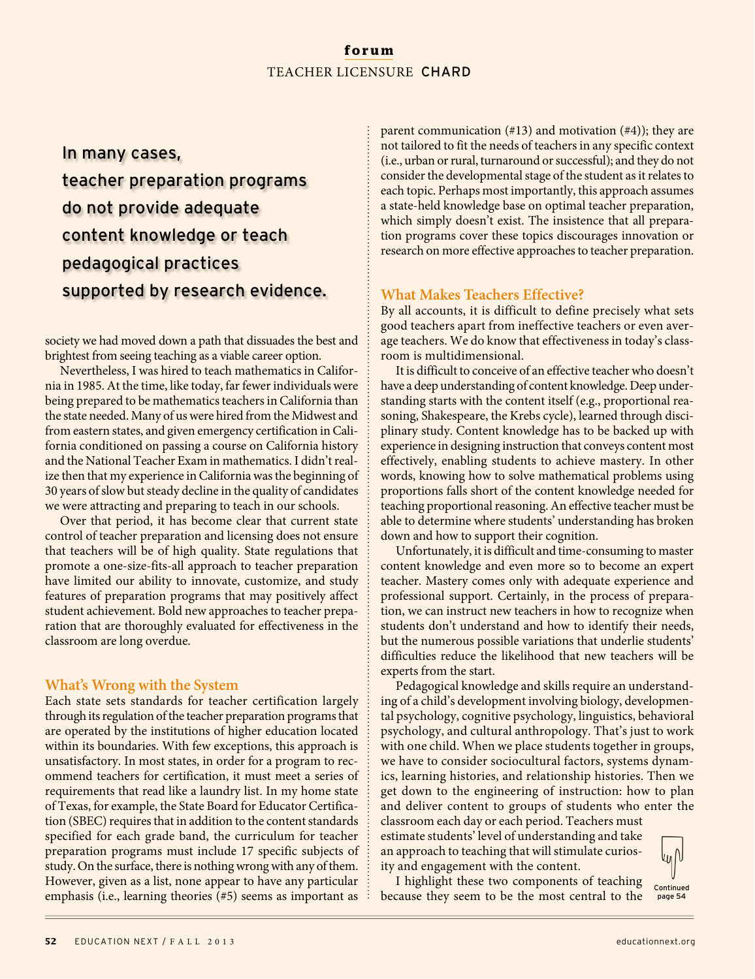#### **forum** TEACHER LICENSURE CHARD

In many cases, teacher preparation programs do not provide adequate content knowledge or teach pedagogical practices supported by research evidence.

society we had moved down a path that dissuades the best and brightest from seeing teaching as a viable career option.

Nevertheless, I was hired to teach mathematics in California in 1985. At the time, like today, far fewer individuals were being prepared to be mathematics teachers in California than the state needed. Many of us were hired from the Midwest and from eastern states, and given emergency certification in California conditioned on passing a course on California history and the National Teacher Exam in mathematics. I didn't realize then that my experience in California was the beginning of 30 years of slow but steady decline in the quality of candidates we were attracting and preparing to teach in our schools.

Over that period, it has become clear that current state control of teacher preparation and licensing does not ensure that teachers will be of high quality. State regulations that promote a one-size-fits-all approach to teacher preparation have limited our ability to innovate, customize, and study features of preparation programs that may positively affect student achievement. Bold new approaches to teacher preparation that are thoroughly evaluated for effectiveness in the classroom are long overdue.

#### **What's Wrong with the System**

Each state sets standards for teacher certification largely through its regulation of the teacher preparation programs that are operated by the institutions of higher education located within its boundaries. With few exceptions, this approach is unsatisfactory. In most states, in order for a program to recommend teachers for certification, it must meet a series of requirements that read like a laundry list. In my home state of Texas, for example, the State Board for Educator Certification (SBEC) requires that in addition to the content standards specified for each grade band, the curriculum for teacher preparation programs must include 17 specific subjects of study. On the surface, there is nothing wrong with any of them. However, given as a list, none appear to have any particular emphasis (i.e., learning theories (#5) seems as important as

parent communication (#13) and motivation (#4)); they are not tailored to fit the needs of teachers in any specific context (i.e., urban or rural, turnaround or successful); and they do not consider the developmental stage of the student as it relates to each topic. Perhaps most importantly, this approach assumes a state-held knowledge base on optimal teacher preparation, which simply doesn't exist. The insistence that all preparation programs cover these topics discourages innovation or research on more effective approaches to teacher preparation.

#### **What Makes Teachers Effective?**

By all accounts, it is difficult to define precisely what sets good teachers apart from ineffective teachers or even average teachers. We do know that effectiveness in today's classroom is multidimensional.

It is difficult to conceive of an effective teacher who doesn't have a deep understanding of content knowledge. Deep understanding starts with the content itself (e.g., proportional reasoning, Shakespeare, the Krebs cycle), learned through disciplinary study. Content knowledge has to be backed up with experience in designing instruction that conveys content most effectively, enabling students to achieve mastery. In other words, knowing how to solve mathematical problems using proportions falls short of the content knowledge needed for teaching proportional reasoning. An effective teacher must be able to determine where students' understanding has broken down and how to support their cognition.

Unfortunately, it is difficult and time-consuming to master content knowledge and even more so to become an expert teacher. Mastery comes only with adequate experience and professional support. Certainly, in the process of preparation, we can instruct new teachers in how to recognize when students don't understand and how to identify their needs, but the numerous possible variations that underlie students' difficulties reduce the likelihood that new teachers will be experts from the start.

Pedagogical knowledge and skills require an understanding of a child's development involving biology, developmental psychology, cognitive psychology, linguistics, behavioral psychology, and cultural anthropology. That's just to work with one child. When we place students together in groups, we have to consider sociocultural factors, systems dynamics, learning histories, and relationship histories. Then we get down to the engineering of instruction: how to plan and deliver content to groups of students who enter the classroom each day or each period. Teachers must estimate students' level of understanding and take

an approach to teaching that will stimulate curiosity and engagement with the content.

l<sub>un</sub>N **Continued** 

I highlight these two components of teaching because they seem to be the most central to the



page 54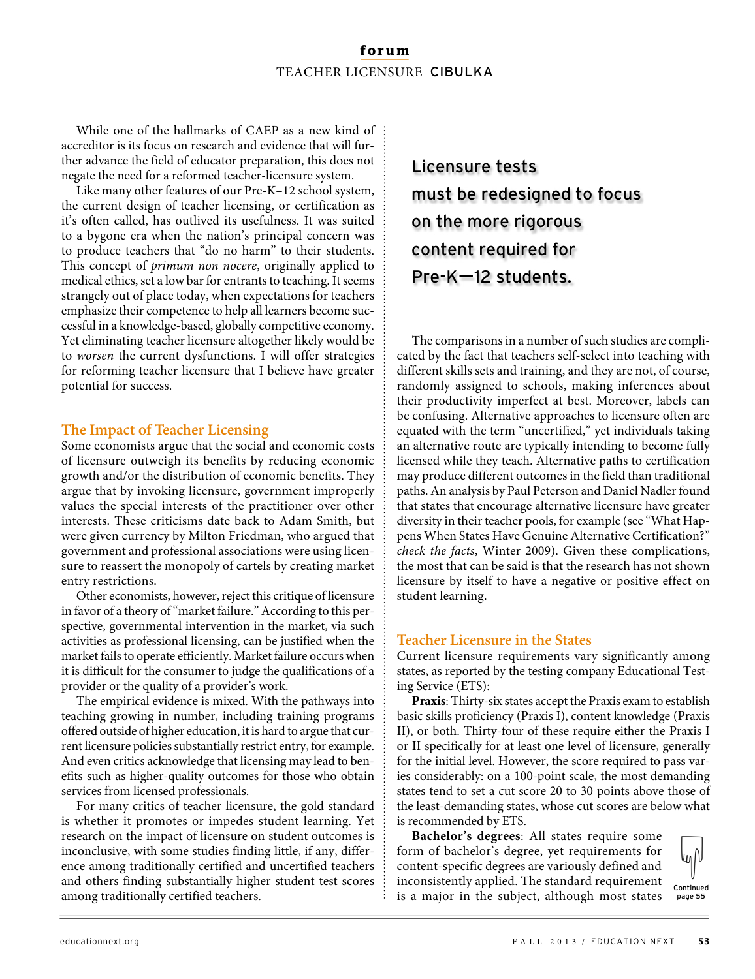#### **forum** TEACHER LICENSURE CIBULKA

While one of the hallmarks of CAEP as a new kind of accreditor is its focus on research and evidence that will further advance the field of educator preparation, this does not negate the need for a reformed teacher-licensure system.

Like many other features of our Pre-K–12 school system, the current design of teacher licensing, or certification as it's often called, has outlived its usefulness. It was suited to a bygone era when the nation's principal concern was to produce teachers that "do no harm" to their students. This concept of primum non nocere, originally applied to medical ethics, set a low bar for entrants to teaching. It seems strangely out of place today, when expectations for teachers emphasize their competence to help all learners become successful in a knowledge-based, globally competitive economy. Yet eliminating teacher licensure altogether likely would be to worsen the current dysfunctions. I will offer strategies for reforming teacher licensure that I believe have greater potential for success.

#### **The Impact of Teacher Licensing**

Some economists argue that the social and economic costs of licensure outweigh its benefits by reducing economic growth and/or the distribution of economic benefits. They argue that by invoking licensure, government improperly values the special interests of the practitioner over other interests. These criticisms date back to Adam Smith, but were given currency by Milton Friedman, who argued that government and professional associations were using licensure to reassert the monopoly of cartels by creating market entry restrictions.

Other economists, however, reject this critique of licensure in favor of a theory of "market failure." According to this perspective, governmental intervention in the market, via such activities as professional licensing, can be justified when the market fails to operate efficiently. Market failure occurs when it is difficult for the consumer to judge the qualifications of a provider or the quality of a provider's work.

The empirical evidence is mixed. With the pathways into teaching growing in number, including training programs offered outside of higher education, it is hard to argue that current licensure policies substantially restrict entry, for example. And even critics acknowledge that licensing may lead to benefits such as higher-quality outcomes for those who obtain services from licensed professionals.

For many critics of teacher licensure, the gold standard is whether it promotes or impedes student learning. Yet research on the impact of licensure on student outcomes is inconclusive, with some studies finding little, if any, difference among traditionally certified and uncertified teachers and others finding substantially higher student test scores among traditionally certified teachers.

Licensure tests must be redesigned to focus on the more rigorous content required for Pre-K—12 students.

The comparisons in a number of such studies are complicated by the fact that teachers self-select into teaching with different skills sets and training, and they are not, of course, randomly assigned to schools, making inferences about their productivity imperfect at best. Moreover, labels can be confusing. Alternative approaches to licensure often are equated with the term "uncertified," yet individuals taking an alternative route are typically intending to become fully licensed while they teach. Alternative paths to certification may produce different outcomes in the field than traditional paths. An analysis by Paul Peterson and Daniel Nadler found that states that encourage alternative licensure have greater diversity in their teacher pools, for example (see "What Happens When States Have Genuine Alternative Certification?" check the facts, Winter 2009). Given these complications, the most that can be said is that the research has not shown licensure by itself to have a negative or positive effect on student learning.

#### **Teacher Licensure in the States**

Current licensure requirements vary significantly among states, as reported by the testing company Educational Testing Service (ETS):

**Praxis**: Thirty-six states accept the Praxis exam to establish basic skills proficiency (Praxis I), content knowledge (Praxis II), or both. Thirty-four of these require either the Praxis I or II specifically for at least one level of licensure, generally for the initial level. However, the score required to pass varies considerably: on a 100-point scale, the most demanding states tend to set a cut score 20 to 30 points above those of the least-demanding states, whose cut scores are below what is recommended by ETS.

**Bachelor's degrees**: All states require some form of bachelor's degree, yet requirements for content-specific degrees are variously defined and inconsistently applied. The standard requirement is a major in the subject, although most states



page 55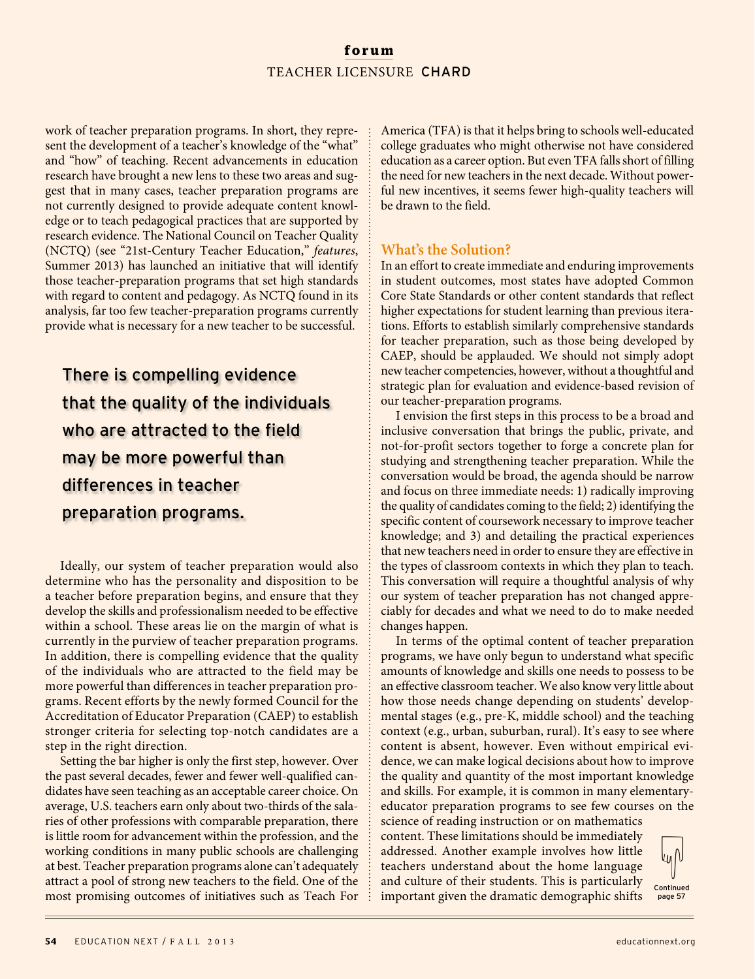#### **forum** TEACHER LICENSURE CHARD

work of teacher preparation programs. In short, they represent the development of a teacher's knowledge of the "what" and "how" of teaching. Recent advancements in education research have brought a new lens to these two areas and suggest that in many cases, teacher preparation programs are not currently designed to provide adequate content knowledge or to teach pedagogical practices that are supported by research evidence. The National Council on Teacher Quality (NCTQ) (see "21st-Century Teacher Education," features, Summer 2013) has launched an initiative that will identify those teacher-preparation programs that set high standards with regard to content and pedagogy. As NCTQ found in its analysis, far too few teacher-preparation programs currently provide what is necessary for a new teacher to be successful.

There is compelling evidence that the quality of the individuals who are attracted to the field may be more powerful than differences in teacher preparation programs.

Ideally, our system of teacher preparation would also determine who has the personality and disposition to be a teacher before preparation begins, and ensure that they develop the skills and professionalism needed to be effective within a school. These areas lie on the margin of what is currently in the purview of teacher preparation programs. In addition, there is compelling evidence that the quality of the individuals who are attracted to the field may be more powerful than differences in teacher preparation programs. Recent efforts by the newly formed Council for the Accreditation of Educator Preparation (CAEP) to establish stronger criteria for selecting top-notch candidates are a step in the right direction.

Setting the bar higher is only the first step, however. Over the past several decades, fewer and fewer well-qualified candidates have seen teaching as an acceptable career choice. On average, U.S. teachers earn only about two-thirds of the salaries of other professions with comparable preparation, there is little room for advancement within the profession, and the working conditions in many public schools are challenging at best. Teacher preparation programs alone can't adequately attract a pool of strong new teachers to the field. One of the most promising outcomes of initiatives such as Teach For America (TFA) is that it helps bring to schools well-educated college graduates who might otherwise not have considered education as a career option. But even TFA falls short of filling the need for new teachers in the next decade. Without powerful new incentives, it seems fewer high-quality teachers will be drawn to the field.

#### **What's the Solution?**

In an effort to create immediate and enduring improvements in student outcomes, most states have adopted Common Core State Standards or other content standards that reflect higher expectations for student learning than previous iterations. Efforts to establish similarly comprehensive standards for teacher preparation, such as those being developed by CAEP, should be applauded. We should not simply adopt new teacher competencies, however, without a thoughtful and strategic plan for evaluation and evidence-based revision of our teacher-preparation programs.

I envision the first steps in this process to be a broad and inclusive conversation that brings the public, private, and not-for-profit sectors together to forge a concrete plan for studying and strengthening teacher preparation. While the conversation would be broad, the agenda should be narrow and focus on three immediate needs: 1) radically improving the quality of candidates coming to the field; 2) identifying the specific content of coursework necessary to improve teacher knowledge; and 3) and detailing the practical experiences that new teachers need in order to ensure they are effective in the types of classroom contexts in which they plan to teach. This conversation will require a thoughtful analysis of why our system of teacher preparation has not changed appreciably for decades and what we need to do to make needed changes happen.

In terms of the optimal content of teacher preparation programs, we have only begun to understand what specific amounts of knowledge and skills one needs to possess to be an effective classroom teacher. We also know very little about how those needs change depending on students' developmental stages (e.g., pre-K, middle school) and the teaching context (e.g., urban, suburban, rural). It's easy to see where content is absent, however. Even without empirical evidence, we can make logical decisions about how to improve the quality and quantity of the most important knowledge and skills. For example, it is common in many elementaryeducator preparation programs to see few courses on the science of reading instruction or on mathematics content. These limitations should be immediately

addressed. Another example involves how little teachers understand about the home language and culture of their students. This is particularly important given the dramatic demographic shifts

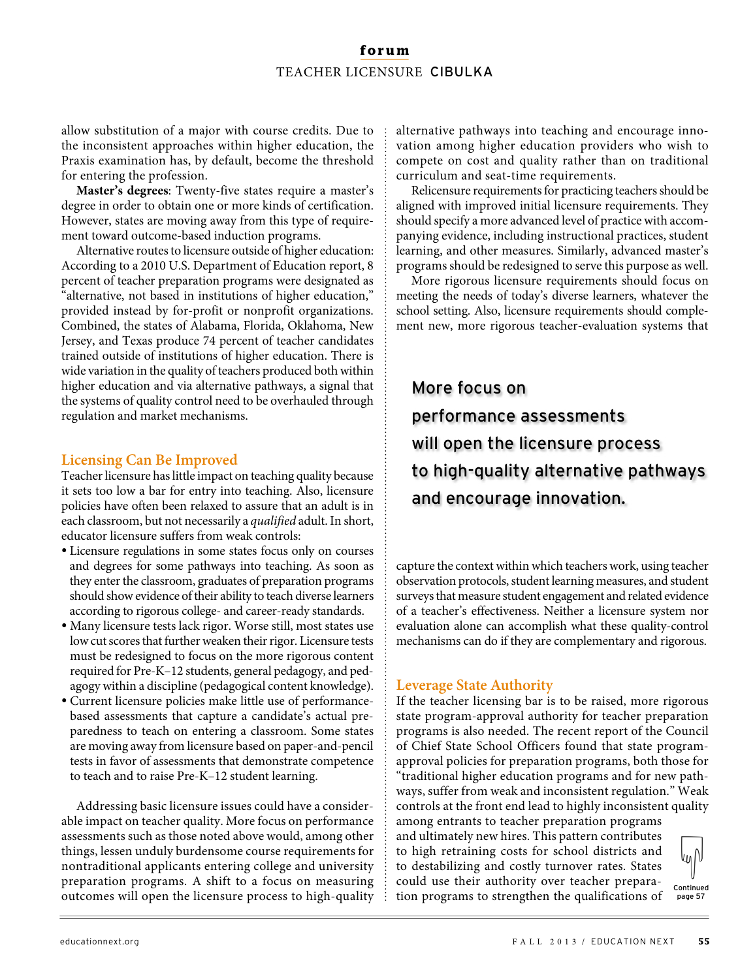#### **forum** TEACHER LICENSURE CIBULKA

allow substitution of a major with course credits. Due to the inconsistent approaches within higher education, the Praxis examination has, by default, become the threshold for entering the profession.

**Master's degrees**: Twenty-five states require a master's degree in order to obtain one or more kinds of certification. However, states are moving away from this type of requirement toward outcome-based induction programs.

Alternative routes to licensure outside of higher education: According to a 2010 U.S. Department of Education report, 8 percent of teacher preparation programs were designated as "alternative, not based in institutions of higher education," provided instead by for-profit or nonprofit organizations. Combined, the states of Alabama, Florida, Oklahoma, New Jersey, and Texas produce 74 percent of teacher candidates trained outside of institutions of higher education. There is wide variation in the quality of teachers produced both within higher education and via alternative pathways, a signal that the systems of quality control need to be overhauled through regulation and market mechanisms.

#### **Licensing Can Be Improved**

Teacher licensure has little impact on teaching quality because it sets too low a bar for entry into teaching. Also, licensure policies have often been relaxed to assure that an adult is in each classroom, but not necessarily a *qualified* adult. In short, educator licensure suffers from weak controls:

- Licensure regulations in some states focus only on courses and degrees for some pathways into teaching. As soon as they enter the classroom, graduates of preparation programs should show evidence of their ability to teach diverse learners according to rigorous college- and career-ready standards.
- Many licensure tests lack rigor. Worse still, most states use low cut scores that further weaken their rigor. Licensure tests must be redesigned to focus on the more rigorous content required for Pre-K–12 students, general pedagogy, and pedagogy within a discipline (pedagogical content knowledge).
- Current licensure policies make little use of performancebased assessments that capture a candidate's actual preparedness to teach on entering a classroom. Some states are moving away from licensure based on paper-and-pencil tests in favor of assessments that demonstrate competence to teach and to raise Pre-K–12 student learning.

Addressing basic licensure issues could have a considerable impact on teacher quality. More focus on performance assessments such as those noted above would, among other things, lessen unduly burdensome course requirements for nontraditional applicants entering college and university preparation programs. A shift to a focus on measuring outcomes will open the licensure process to high-quality alternative pathways into teaching and encourage innovation among higher education providers who wish to compete on cost and quality rather than on traditional curriculum and seat-time requirements.

Relicensure requirements for practicing teachers should be aligned with improved initial licensure requirements. They should specify a more advanced level of practice with accompanying evidence, including instructional practices, student learning, and other measures. Similarly, advanced master's programs should be redesigned to serve this purpose as well.

More rigorous licensure requirements should focus on meeting the needs of today's diverse learners, whatever the school setting. Also, licensure requirements should complement new, more rigorous teacher-evaluation systems that

More focus on performance assessments will open the licensure process to high-quality alternative pathways and encourage innovation.

capture the context within which teachers work, using teacher observation protocols, student learning measures, and student surveys that measure student engagement and related evidence of a teacher's effectiveness. Neither a licensure system nor evaluation alone can accomplish what these quality-control mechanisms can do if they are complementary and rigorous.

#### **Leverage State Authority**

If the teacher licensing bar is to be raised, more rigorous state program-approval authority for teacher preparation programs is also needed. The recent report of the Council of Chief State School Officers found that state programapproval policies for preparation programs, both those for "traditional higher education programs and for new pathways, suffer from weak and inconsistent regulation." Weak controls at the front end lead to highly inconsistent quality

among entrants to teacher preparation programs and ultimately new hires. This pattern contributes to high retraining costs for school districts and to destabilizing and costly turnover rates. States could use their authority over teacher preparation programs to strengthen the qualifications of



Continued page 57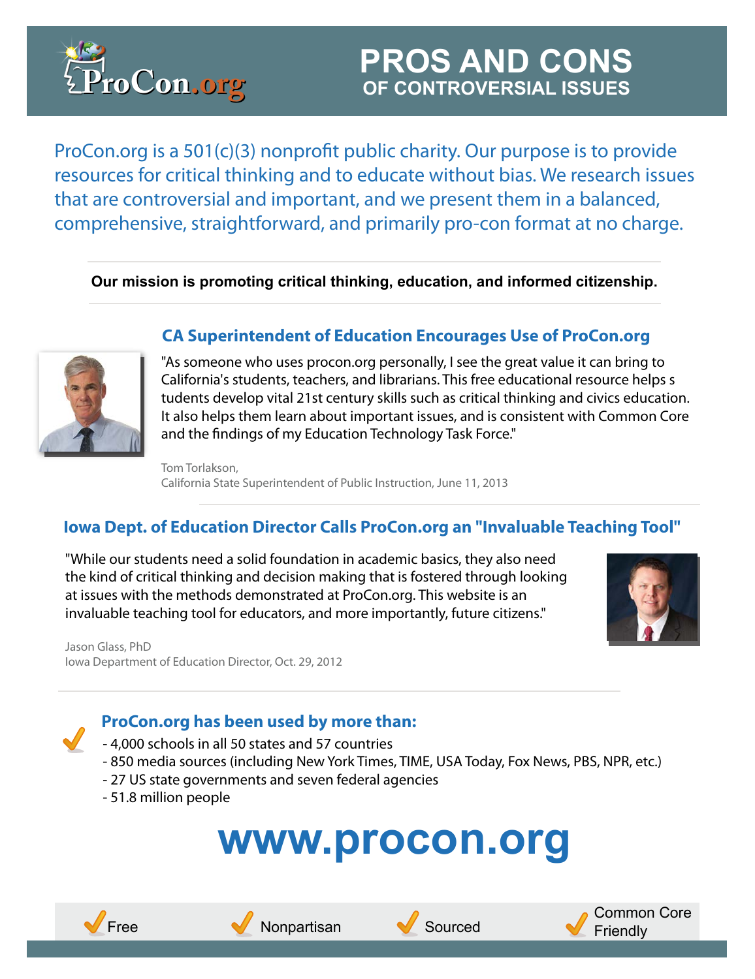

# **ProCon.org PROS AND CONS OF CONTROVERSIAL ISSUES**

ProCon.org is a  $501(c)(3)$  nonprofit public charity. Our purpose is to provide resources for critical thinking and to educate without bias. We research issues that are controversial and important, and we present them in a balanced, comprehensive, straightforward, and primarily pro-con format at no charge.

**Our mission is promoting critical thinking, education, and informed citizenship.**

#### **CA Superintendent of Education Encourages Use of ProCon.org**



"As someone who uses procon.org personally, I see the great value it can bring to California's students, teachers, and librarians. This free educational resource helps s tudents develop vital 21st century skills such as critical thinking and civics education. It also helps them learn about important issues, and is consistent with Common Core and the findings of my Education Technology Task Force."

Tom Torlakson, California State Superintendent of Public Instruction, June 11, 2013

#### **Iowa Dept. of Education Director Calls ProCon.org an "Invaluable Teaching Tool"**

"While our students need a solid foundation in academic basics, they also need the kind of critical thinking and decision making that is fostered through looking at issues with the methods demonstrated at ProCon.org. This website is an invaluable teaching tool for educators, and more importantly, future citizens."



Jason Glass, PhD Iowa Department of Education Director, Oct. 29, 2012

#### **ProCon.org has been used by more than:**

- 4,000 schools in all 50 states and 57 countries
- 850 media sources (including New York Times, TIME, USA Today, Fox News, PBS, NPR, etc.)
- 27 US state governments and seven federal agencies
- 51.8 million people

# **www.procon.org**